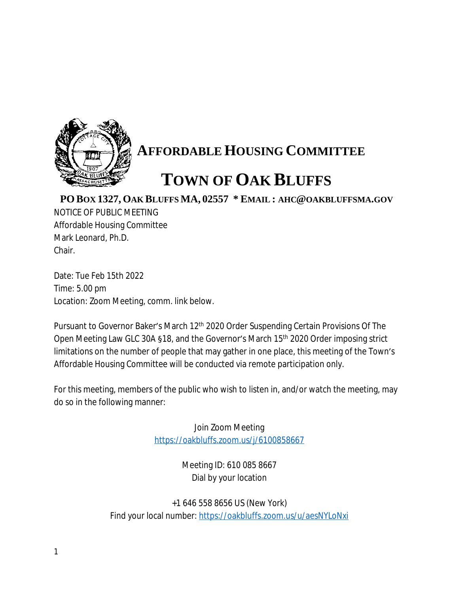

## **AFFORDABLE HOUSING COMMITTEE**

## **TOWN OF OAK BLUFFS**

**PO BOX 1327, OAK BLUFFS MA, 02557 \* EMAIL : AHC@OAKBLUFFSMA.GOV**

NOTICE OF PUBLIC MEETING Affordable Housing Committee Mark Leonard, Ph.D. Chair.

Date: Tue Feb 15th 2022 Time: 5.00 pm Location: Zoom Meeting, comm. link below.

Pursuant to Governor Baker's March 12<sup>th</sup> 2020 Order Suspending Certain Provisions Of The Open Meeting Law GLC 30A §18, and the Governor's March 15th 2020 Order imposing strict limitations on the number of people that may gather in one place, this meeting of the Town's Affordable Housing Committee will be conducted via remote participation only.

For this meeting, members of the public who wish to listen in, and/or watch the meeting, may do so in the following manner:

> Join Zoom Meeting <https://oakbluffs.zoom.us/j/6100858667>

> > Meeting ID: 610 085 8667 Dial by your location

+1 646 558 8656 US (New York) Find your local number: <https://oakbluffs.zoom.us/u/aesNYLoNxi>